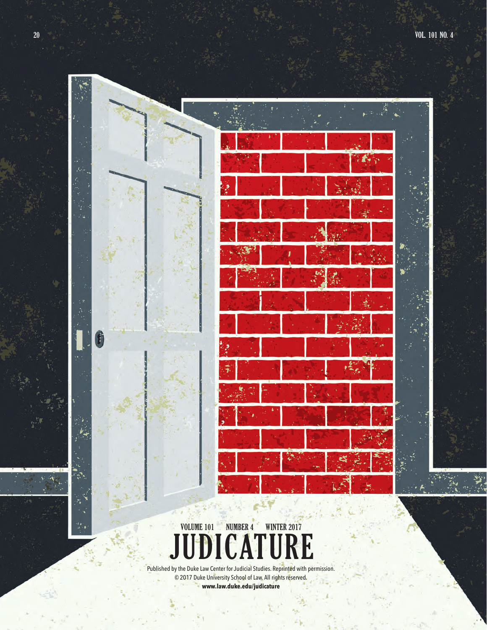

**DICATURE** Published by the Duke Law Center for Judicial Studies. Reprinted with permission. **VOLUME 101 NUMBER 4** 

© 2017 Duke University School of Law. All rights reserved. **www.law.duke.edu/judicature** 

۰.

Ġ

H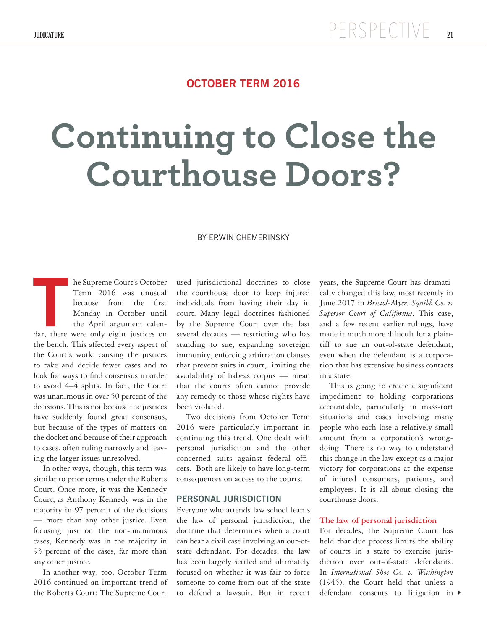## **OCTOBER TERM 2016**

# **Continuing to Close the Courthouse Doors?**

#### BY ERWIN CHEMERINSKY

he Supreme Court's October Term 2016 was unusual because from the first Monday in October until the April argument calendar, there were only eight justices on the first Monday in October until the April argument calendar, there were only eight justices on the bench. This affected every aspect of the Court's work, causing the justices to take and decide fewer cases and to look for ways to find consensus in order to avoid 4–4 splits. In fact, the Court was unanimous in over 50 percent of the decisions. This is not because the justices have suddenly found great consensus, but because of the types of matters on the docket and because of their approach to cases, often ruling narrowly and leaving the larger issues unresolved.

In other ways, though, this term was similar to prior terms under the Roberts Court. Once more, it was the Kennedy Court, as Anthony Kennedy was in the majority in 97 percent of the decisions — more than any other justice. Even focusing just on the non-unanimous cases, Kennedy was in the majority in 93 percent of the cases, far more than any other justice.

In another way, too, October Term 2016 continued an important trend of the Roberts Court: The Supreme Court

used jurisdictional doctrines to close the courthouse door to keep injured individuals from having their day in court. Many legal doctrines fashioned by the Supreme Court over the last several decades — restricting who has standing to sue, expanding sovereign immunity, enforcing arbitration clauses that prevent suits in court, limiting the availability of habeas corpus — mean that the courts often cannot provide any remedy to those whose rights have been violated.

Two decisions from October Term 2016 were particularly important in continuing this trend. One dealt with personal jurisdiction and the other concerned suits against federal officers. Both are likely to have long-term consequences on access to the courts.

#### **PERSONAL JURISDICTION**

Everyone who attends law school learns the law of personal jurisdiction, the doctrine that determines when a court can hear a civil case involving an out-ofstate defendant. For decades, the law has been largely settled and ultimately focused on whether it was fair to force someone to come from out of the state to defend a lawsuit. But in recent

years, the Supreme Court has dramatically changed this law, most recently in June 2017 in *Bristol-Myers Squibb Co. v. Superior Court of California*. This case, and a few recent earlier rulings, have made it much more difficult for a plaintiff to sue an out-of-state defendant, even when the defendant is a corporation that has extensive business contacts in a state.

This is going to create a significant impediment to holding corporations accountable, particularly in mass-tort situations and cases involving many people who each lose a relatively small amount from a corporation's wrongdoing. There is no way to understand this change in the law except as a major victory for corporations at the expense of injured consumers, patients, and employees. It is all about closing the courthouse doors.

#### **The law of personal jurisdiction**

4 defendant consents to litigation in For decades, the Supreme Court has held that due process limits the ability of courts in a state to exercise jurisdiction over out-of-state defendants. In *International Shoe Co. v. Washington*  (1945), the Court held that unless a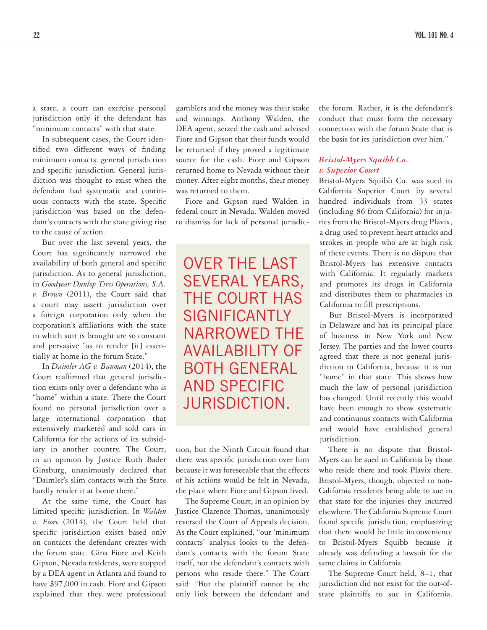a state, a court can exercise personal jurisdiction only if the defendant has "minimum contacts" with that state.

In subsequent cases, the Court identified two different ways of finding minimum contacts: general jurisdiction and specific jurisdiction. General jurisdiction was thought to exist when the defendant had systematic and continuous contacts with the state. Specific jurisdiction was based on the defendant's contacts with the state giving rise to the cause of action.

But over the last several years, the Court has significantly narrowed the availability of both general and specific jurisdiction. As to general jurisdiction, in *Goodyear Dunlop Tires Operations, S.A. v. Brown* (2011), the Court said that a court may assert jurisdiction over a foreign corporation only when the corporation's affiliations with the state in which suit is brought are so constant and pervasive "as to render [it] essentially at home in the forum State."

In *Daimler AG v. Bauman* (2014), the Court reaffirmed that general jurisdiction exists only over a defendant who is "home" within a state. There the Court found no personal jurisdiction over a large international corporation that extensively marketed and sold cars in California for the actions of its subsidiary in another country. The Court, in an opinion by Justice Ruth Bader Ginsburg, unanimously declared that "Daimler's slim contacts with the State hardly render it at home there."

At the same time, the Court has limited specific jurisdiction. In *Walden v. Fiore* (2014), the Court held that specific jurisdiction exists based only on contacts the defendant creates with the forum state. Gina Fiore and Keith Gipson, Nevada residents, were stopped by a DEA agent in Atlanta and found to have \$97,000 in cash. Fiore and Gipson explained that they were professional

gamblers and the money was their stake and winnings. Anthony Walden, the DEA agent, seized the cash and advised Fiore and Gipson that their funds would be returned if they proved a legitimate source for the cash. Fiore and Gipson returned home to Nevada without their money. After eight months, their money was returned to them.

Fiore and Gipson sued Walden in federal court in Nevada. Walden moved to dismiss for lack of personal jurisdic-

OVER THE LAST SEVERAL YEARS, THE COURT HAS **SIGNIFICANTLY** NARROWED THE AVAILABILITY OF BOTH GENERAL AND SPECIFIC JURISDICTION.

tion, but the Ninth Circuit found that there was specific jurisdiction over him because it was foreseeable that the effects of his actions would be felt in Nevada, the place where Fiore and Gipson lived.

The Supreme Court, in an opinion by Justice Clarence Thomas, unanimously reversed the Court of Appeals decision. As the Court explained, "our 'minimum contacts' analysis looks to the defendant's contacts with the forum State itself, not the defendant's contacts with persons who reside there." The Court said: "But the plaintiff cannot be the only link between the defendant and

the forum. Rather, it is the defendant's conduct that must form the necessary connection with the forum State that is the basis for its jurisdiction over him."

#### *Bristol-Myers Squibb Co. v. Superior Court*

Bristol-Myers Squibb Co. was sued in California Superior Court by several hundred individuals from 33 states (including 86 from California) for injuries from the Bristol-Myers drug Plavix, a drug used to prevent heart attacks and strokes in people who are at high risk of these events. There is no dispute that Bristol-Myers has extensive contacts with California: It regularly markets and promotes its drugs in California and distributes them to pharmacies in California to fill prescriptions.

But Bristol-Myers is incorporated in Delaware and has its principal place of business in New York and New Jersey. The parties and the lower courts agreed that there is not general jurisdiction in California, because it is not "home" in that state. This shows how much the law of personal jurisdiction has changed: Until recently this would have been enough to show systematic and continuous contacts with California and would have established general jurisdiction.

There is no dispute that Bristol-Myers can be sued in California by those who reside there and took Plavix there. Bristol-Myers, though, objected to non-California residents being able to sue in that state for the injuries they incurred elsewhere. The California Supreme Court found specific jurisdiction, emphasizing that there would be little inconvenience to Bristol-Myers Squibb because it already was defending a lawsuit for the same claims in California.

The Supreme Court held, 8–1, that jurisdiction did not exist for the out-ofstate plaintiffs to sue in California.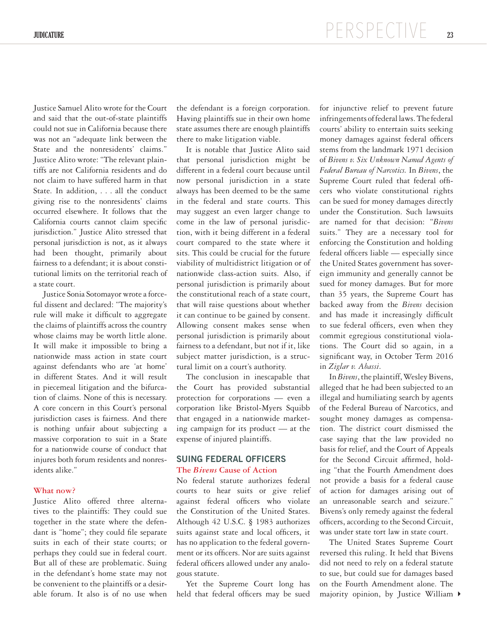Justice Samuel Alito wrote for the Court and said that the out-of-state plaintiffs could not sue in California because there was not an "adequate link between the State and the nonresidents' claims." Justice Alito wrote: "The relevant plaintiffs are not California residents and do not claim to have suffered harm in that State. In addition, . . . all the conduct giving rise to the nonresidents' claims occurred elsewhere. It follows that the California courts cannot claim specific jurisdiction." Justice Alito stressed that personal jurisdiction is not, as it always had been thought, primarily about fairness to a defendant; it is about constitutional limits on the territorial reach of a state court.

Justice Sonia Sotomayor wrote a forceful dissent and declared: "The majority's rule will make it difficult to aggregate the claims of plaintiffs across the country whose claims may be worth little alone. It will make it impossible to bring a nationwide mass action in state court against defendants who are 'at home' in different States. And it will result in piecemeal litigation and the bifurcation of claims. None of this is necessary. A core concern in this Court's personal jurisdiction cases is fairness. And there is nothing unfair about subjecting a massive corporation to suit in a State for a nationwide course of conduct that injures both forum residents and nonresidents alike."

#### **What now?**

Justice Alito offered three alternatives to the plaintiffs: They could sue together in the state where the defendant is "home"; they could file separate suits in each of their state courts; or perhaps they could sue in federal court. But all of these are problematic. Suing in the defendant's home state may not be convenient to the plaintiffs or a desirable forum. It also is of no use when

the defendant is a foreign corporation. Having plaintiffs sue in their own home state assumes there are enough plaintiffs there to make litigation viable.

It is notable that Justice Alito said that personal jurisdiction might be different in a federal court because until now personal jurisdiction in a state always has been deemed to be the same in the federal and state courts. This may suggest an even larger change to come in the law of personal jurisdiction, with it being different in a federal court compared to the state where it sits. This could be crucial for the future viability of multidistrict litigation or of nationwide class-action suits. Also, if personal jurisdiction is primarily about the constitutional reach of a state court, that will raise questions about whether it can continue to be gained by consent. Allowing consent makes sense when personal jurisdiction is primarily about fairness to a defendant, but not if it, like subject matter jurisdiction, is a structural limit on a court's authority.

The conclusion in inescapable that the Court has provided substantial protection for corporations — even a corporation like Bristol-Myers Squibb that engaged in a nationwide marketing campaign for its product — at the expense of injured plaintiffs.

### **SUING FEDERAL OFFICERS The** *Bivens* **Cause of Action**

No federal statute authorizes federal courts to hear suits or give relief against federal officers who violate the Constitution of the United States. Although 42 U.S.C. § 1983 authorizes suits against state and local officers, it has no application to the federal government or its officers. Nor are suits against federal officers allowed under any analogous statute.

Yet the Supreme Court long has held that federal officers may be sued

for injunctive relief to prevent future infringements of federal laws. The federal courts' ability to entertain suits seeking money damages against federal officers stems from the landmark 1971 decision of *Bivens v. Six Unknown Named Agents of Federal Bureau of Narcotics.* In *Bivens*, the Supreme Court ruled that federal officers who violate constitutional rights can be sued for money damages directly under the Constitution. Such lawsuits are named for that decision: "*Bivens* suits." They are a necessary tool for enforcing the Constitution and holding federal officers liable — especially since the United States government has sovereign immunity and generally cannot be sued for money damages. But for more than 35 years, the Supreme Court has backed away from the *Bivens* decision and has made it increasingly difficult to sue federal officers, even when they commit egregious constitutional violations. The Court did so again, in a significant way, in October Term 2016 in *Ziglar v. Abassi*.

In *Bivens*, the plaintiff, Wesley Bivens, alleged that he had been subjected to an illegal and humiliating search by agents of the Federal Bureau of Narcotics, and sought money damages as compensation. The district court dismissed the case saying that the law provided no basis for relief, and the Court of Appeals for the Second Circuit affirmed, holding "that the Fourth Amendment does not provide a basis for a federal cause of action for damages arising out of an unreasonable search and seizure." Bivens's only remedy against the federal officers, according to the Second Circuit, was under state tort law in state court.

4 majority opinion, by Justice William The United States Supreme Court reversed this ruling. It held that Bivens did not need to rely on a federal statute to sue, but could sue for damages based on the Fourth Amendment alone. The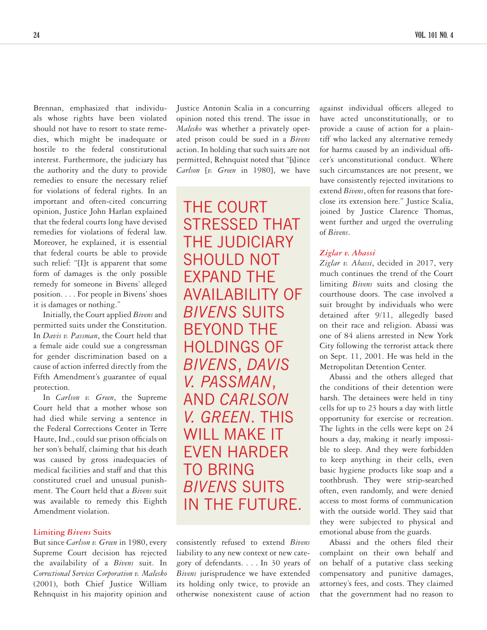Brennan, emphasized that individuals whose rights have been violated should not have to resort to state remedies, which might be inadequate or hostile to the federal constitutional interest. Furthermore, the judiciary has the authority and the duty to provide remedies to ensure the necessary relief for violations of federal rights. In an important and often-cited concurring opinion, Justice John Harlan explained that the federal courts long have devised remedies for violations of federal law. Moreover, he explained, it is essential that federal courts be able to provide such relief: "[I]t is apparent that some form of damages is the only possible remedy for someone in Bivens' alleged position. . . . For people in Bivens' shoes it is damages or nothing."

Initially, the Court applied *Bivens* and permitted suits under the Constitution. In *Davis v. Passman*, the Court held that a female aide could sue a congressman for gender discrimination based on a cause of action inferred directly from the Fifth Amendment's guarantee of equal protection.

In *Carlson v. Green*, the Supreme Court held that a mother whose son had died while serving a sentence in the Federal Corrections Center in Terre Haute, Ind., could sue prison officials on her son's behalf, claiming that his death was caused by gross inadequacies of medical facilities and staff and that this constituted cruel and unusual punishment. The Court held that a *Bivens* suit was available to remedy this Eighth Amendment violation.

#### **Limiting** *Bivens* **Suits**

But since *Carlson v. Green* in 1980, every Supreme Court decision has rejected the availability of a *Bivens* suit. In *Correctional Services Corporation v. Malesko* (2001), both Chief Justice William Rehnquist in his majority opinion and

Justice Antonin Scalia in a concurring opinion noted this trend. The issue in *Malesko* was whether a privately operated prison could be sued in a *Bivens* action. In holding that such suits are not permitted, Rehnquist noted that "[s] ince *Carlson* [*v. Green* in 1980], we have

THE COURT STRESSED THAT THE JUDICIARY SHOULD NOT EXPAND THE AVAILABILITY OF *BIVENS* SUITS BEYOND THE HOLDINGS OF *BIVENS*, *DAVIS V. PASSMAN*, AND *CARLSON V. GREEN*. THIS WILL MAKE IT EVEN HARDER TO BRING *BIVENS* SUITS IN THE FUTURE.

consistently refused to extend *Bivens* liability to any new context or new category of defendants. . . . In 30 years of *Bivens* jurisprudence we have extended its holding only twice, to provide an otherwise nonexistent cause of action

against individual officers alleged to have acted unconstitutionally, or to provide a cause of action for a plaintiff who lacked any alternative remedy for harms caused by an individual officer's unconstitutional conduct. Where such circumstances are not present, we have consistently rejected invitations to extend *Bivens*, often for reasons that foreclose its extension here." Justice Scalia, joined by Justice Clarence Thomas, went further and urged the overruling of *Bivens*.

#### *Ziglar v. Abassi*

*Ziglar v. Abassi*, decided in 2017, very much continues the trend of the Court limiting *Bivens* suits and closing the courthouse doors. The case involved a suit brought by individuals who were detained after 9/11, allegedly based on their race and religion. Abassi was one of 84 aliens arrested in New York City following the terrorist attack there on Sept. 11, 2001. He was held in the Metropolitan Detention Center.

Abassi and the others alleged that the conditions of their detention were harsh. The detainees were held in tiny cells for up to 23 hours a day with little opportunity for exercise or recreation. The lights in the cells were kept on 24 hours a day, making it nearly impossible to sleep. And they were forbidden to keep anything in their cells, even basic hygiene products like soap and a toothbrush. They were strip-searched often, even randomly, and were denied access to most forms of communication with the outside world. They said that they were subjected to physical and emotional abuse from the guards.

Abassi and the others filed their complaint on their own behalf and on behalf of a putative class seeking compensatory and punitive damages, attorney's fees, and costs. They claimed that the government had no reason to